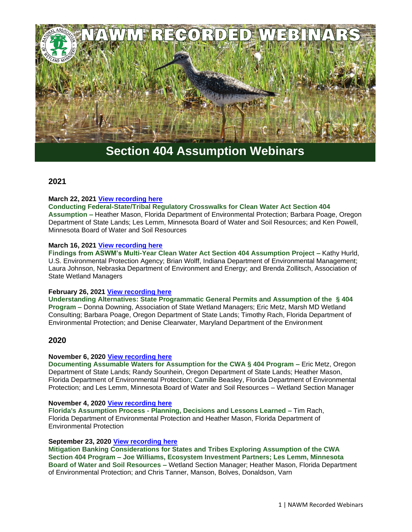

# **Section 404 Assumption Webinars**

## **2021**

#### **March 22, 2021 [View recording here](https://nawm.org/nawm/nawm-webinarscalls/10307-2021-section-404-assumption-webinars#crosswalks032221)**

**Conducting Federal-State/Tribal Regulatory Crosswalks for Clean Water Act Section 404 Assumption –** Heather Mason, Florida Department of Environmental Protection; Barbara Poage, Oregon Department of State Lands; Les Lemm, Minnesota Board of Water and Soil Resources; and Ken Powell, Minnesota Board of Water and Soil Resources

#### **March 16, 2021 [View recording here](https://nawm.org/nawm/nawm-webinarscalls/10307-2021-section-404-assumption-webinars#assumptionwebinar031621)**

**Findings from ASWM's Multi-Year Clean Water Act Section 404 Assumption Project –** Kathy Hurld, U.S. Environmental Protection Agency; Brian Wolff, Indiana Department of Environmental Management; Laura Johnson, Nebraska Department of Environment and Energy; and Brenda Zollitsch, Association of State Wetland Managers

#### **February 26, 2021 [View recording here](https://nawm.org/nawm/nawm-webinarscalls/10307-2021-section-404-assumption-webinars#assumption0226)**

**Understanding Alternatives: State Programmatic General Permits and Assumption of the § 404 Program –** Donna Downing, Association of State Wetland Managers; Eric Metz, Marsh MD Wetland Consulting; Barbara Poage, Oregon Department of State Lands; Timothy Rach, Florida Department of Environmental Protection; and Denise Clearwater, Maryland Department of the Environment

### **2020**

#### **November 6, 2020 [View recording here](https://nawm.org/nawm/nawm-webinarscalls/9330-2020-past-assumption-webinars#assumption1106)**

**Documenting Assumable Waters for Assumption for the CWA § 404 Program –** Eric Metz, Oregon Department of State Lands; Randy Sounhein, Oregon Department of State Lands; Heather Mason, Florida Department of Environmental Protection; Camille Beasley, Florida Department of Environmental Protection; and Les Lemm, Minnesota Board of Water and Soil Resources – Wetland Section Manager

#### **November 4, 2020 [View recording here](https://nawm.org/nawm/nawm-webinarscalls/9330-2020-past-assumption-webinars#assumption1104)**

**Florida's Assumption Process - Planning, Decisions and Lessons Learned –** Tim Rach, Florida Department of Environmental Protection and Heather Mason, Florida Department of Environmental Protection

#### **September 23, 2020 [View recording here](https://nawm.org/nawm/nawm-webinarscalls/9330-2020-past-assumption-webinars#assumption092320)**

**Mitigation Banking Considerations for States and Tribes Exploring Assumption of the CWA Section 404 Program – Joe Williams, Ecosystem Investment Partners; Les Lemm, Minnesota Board of Water and Soil Resources –** Wetland Section Manager; Heather Mason, Florida Department of Environmental Protection; and Chris Tanner, Manson, Bolves, Donaldson, Varn